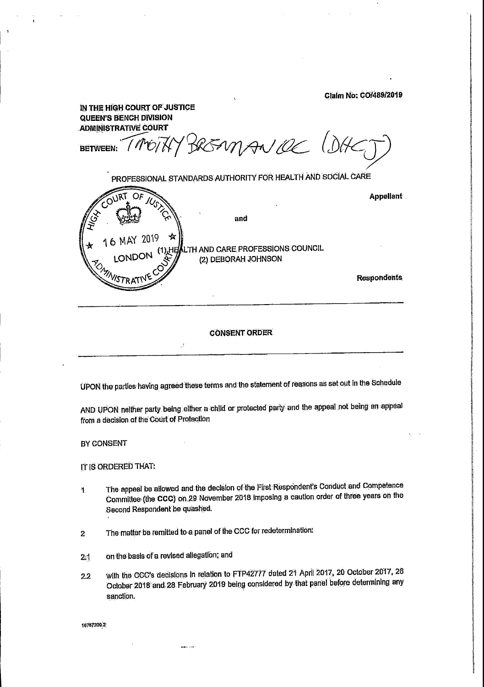BREAMANCE (DHC BETWEEN:

 $\mathcal{A}$ 

IN THE HIGH COURT OF JUSTICE **QUEEN'S BENCH DIVISION ADMINISTRATIVE COURT** 

**Claim No: CO/489/2019** 

 $\bullet$ 

**大** 一

## PROFESSIONAL STANDARDS AUTHORITY FOR HEALTH AND SOCIAL CARE



**CONSENT ORDER** 

UPON the parties having agreed these terms and the statement of reasons as set out in the Schedule

AND UPON neither party being either a child or protected party and the appeal not being an appeal from a decision of the Court of Protection

BY CONSENT

IT IS ORDERED THAT:

- The appeal be allowed and the decision of the First Respondent's Conduct and Competence  $\ddot{\mathbf{1}}$ Committee (the CCC) on 29 November 2018 imposing a caution order of three years on the Second Respondent be quashed.
- The matter be remitted to a panel of the CCC for redetermination:  $2^{\circ}$
- on the basis of a revised allegation; and 24
- with the CCC's decisions in relation to FTP42777 dated 21 April 2017, 20 October 2017, 26  $2.2^{\circ}$ October 2018 and 28 February 2019 being considered by that panel before determining any sanction.



giant virtuals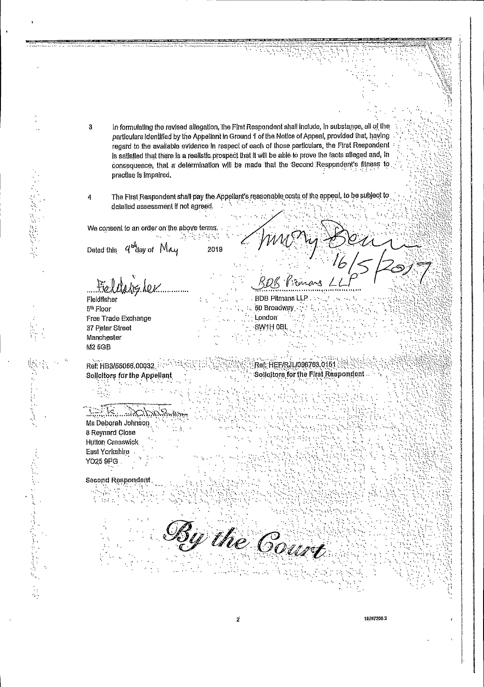In formulating the revised allegation, the First Respondent shall include, in substance, all of the particulars identified by the Appeliant in Ground 1 of the Notice of Appeal, provided that, having regard to the available evidence in respect of each of those particulars, the First Respondent is satisfied that there is a realistic prospect that it will be able to prove the facts alleged and, in consequence, that a determination will be made that the Second Respondent's filness to  $\mathcal{A} = \mathcal{A}$ 

practise is impaired.

The First Respondent shall pay the Appellant's reasonable costs of the appeal, to be subject to detailed assessment if not agreed.

We consent to an order on the above terms.

Dated this  $q^{tA}_{d}$  ay of  $M_{dA}$ 2019

Fieldatz der

Fieldfisher  $5<sup>th</sup>$ . Floor Free Trade Exchange 37 Peter Street Manchester

**BDB Pilmans LLP.** 50 Broadway ...

## **M2 5GB**

4

Ref: HEF/RJL/096763.0151 Ref: HB3/55056.00032 Solicitors for the First Respondent. Solicitors for the Appellant

Ms Deborah Johnson **8 Reynard Close** Hutton Cranswick East Yorkshire **YO25 9PG** 

Second Respondent

London<sup>.</sup>

3W1H 0BI

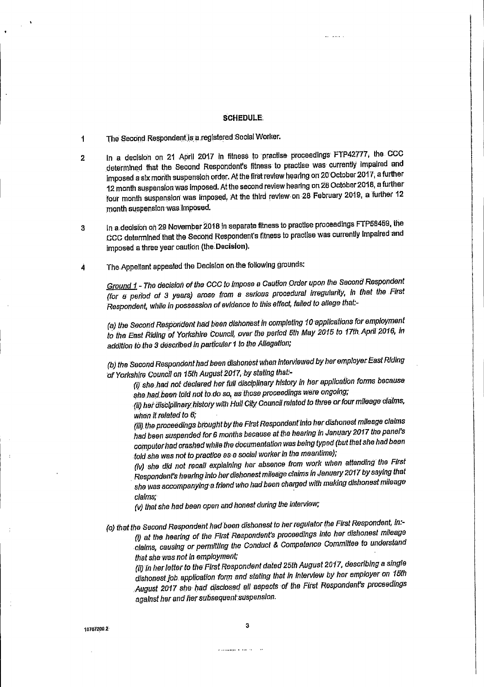## **SCHEDULE**

. . . .

- The Second Respondent is a registered Social Worker. 1
- In a decision on 21 April 2017 in fitness to practise proceedings FTP42777, the CCC  $\mathbf{2}$ determined that the Second Respondent's fitness to practise was currently impaired and

imposed a six month suspension order. At the first review hearing on 20 October 2017, a further 12 month suspension was imposed. At the second review hearing on 28 October 2018, a further four month suspension was imposed. At the third review on 28 February 2019, a further 12 month suspension was imposed.

- In a decision on 29 November 2018 in separate fitness to practise proceedings FTP58459, the  $3\phantom{.0}$ CCC determined that the Second Respondent's fitness to practise was currently impaired and imposed a three year caution (the Decision).
- The Appellant appealed the Decision on the following grounds:  $\boldsymbol{4}$

Ground 1 - The decision of the CCC to impose a Caution Order upon the Second Respondent (for a period of 3 years) arose from a serious procedural irregularity, in that the First Respondent, while in possession of evidence to this effect, falled to allege that:-

(a) the Second Respondent had been dishonest in completing 10 applications for employment to the East Riding of Yorkshire Council, over the period 5th May 2015 to 17th April 2016, in addition to the 3 described in particular 1 to the Allegation;

(b) the Second Respondent had been dishonest when interviewed by her employer East Riding of Yorkshire Council on 15th August 2017, by stating that:-

(i) she had not declared her full disciplinary history in her application forms because she had been told not to do so, as those proceedings were ongoing; (ii) her disciplinary history with Hull City Council related to three or four mileage claims, when it related to 6:

(iii) the proceedings brought by the First Respondent into her dishonest mileage claims had been suspended for 6 months because at the hearing in January 2017 the panel's computer had crashed while the documentation was being typed (but that she had been told she was not to practice as a social worker in the meantime);

(iv) she did not recall explaining her absence from work when attending the First Respondent's hearing into her dishonest mileage claims in January 2017 by saying that she was accompanying a friend who had been charged with making dishonest mileage

claims;

(v) that she had been open and honest during the interview;

(c) that the Second Respondent had been dishonest to her regulator the First Respondent, in:-(i) at the hearing of the First Respondent's proceedings into her dishonest mileage claims, causing or permitting the Conduct & Competence Committee to understand that she was not in employment; (ii) in her letter to the First Respondent dated 25th August 2017, describing a single dishonest job application form and stating that in interview by her employer on 15th

August 2017 she had disclosed all aspects of the First Respondent's proceedings against her and her subsequent suspension.

18767209.2

 $\bf{3}$